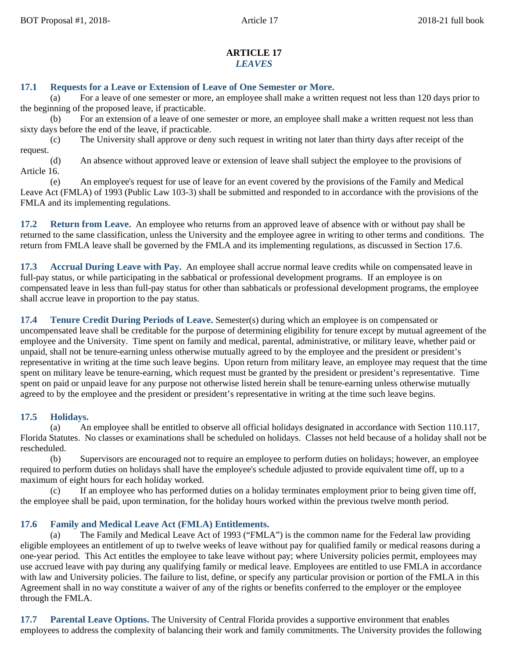### **ARTICLE 17** *LEAVES*

# **17.1 Requests for a Leave or Extension of Leave of One Semester or More.**

(a) For a leave of one semester or more, an employee shall make a written request not less than 120 days prior to the beginning of the proposed leave, if practicable.

For an extension of a leave of one semester or more, an employee shall make a written request not less than sixty days before the end of the leave, if practicable.

(c) The University shall approve or deny such request in writing not later than thirty days after receipt of the request.

(d) An absence without approved leave or extension of leave shall subject the employee to the provisions of Article 16.

(e) An employee's request for use of leave for an event covered by the provisions of the Family and Medical Leave Act (FMLA) of 1993 (Public Law 103-3) shall be submitted and responded to in accordance with the provisions of the FMLA and its implementing regulations.

**17.2 Return from Leave.** An employee who returns from an approved leave of absence with or without pay shall be returned to the same classification, unless the University and the employee agree in writing to other terms and conditions. The return from FMLA leave shall be governed by the FMLA and its implementing regulations, as discussed in Section 17.6.

**17.3 Accrual During Leave with Pay.** An employee shall accrue normal leave credits while on compensated leave in full-pay status, or while participating in the sabbatical or professional development programs. If an employee is on compensated leave in less than full-pay status for other than sabbaticals or professional development programs, the employee shall accrue leave in proportion to the pay status.

**17.4 Tenure Credit During Periods of Leave.** Semester(s) during which an employee is on compensated or uncompensated leave shall be creditable for the purpose of determining eligibility for tenure except by mutual agreement of the employee and the University. Time spent on family and medical, parental, administrative, or military leave, whether paid or unpaid, shall not be tenure-earning unless otherwise mutually agreed to by the employee and the president or president's representative in writing at the time such leave begins. Upon return from military leave, an employee may request that the time spent on military leave be tenure-earning, which request must be granted by the president or president's representative. Time spent on paid or unpaid leave for any purpose not otherwise listed herein shall be tenure-earning unless otherwise mutually agreed to by the employee and the president or president's representative in writing at the time such leave begins.

## **17.5 Holidays.**

(a) An employee shall be entitled to observe all official holidays designated in accordance with Section 110.117, Florida Statutes. No classes or examinations shall be scheduled on holidays. Classes not held because of a holiday shall not be rescheduled.

(b) Supervisors are encouraged not to require an employee to perform duties on holidays; however, an employee required to perform duties on holidays shall have the employee's schedule adjusted to provide equivalent time off, up to a maximum of eight hours for each holiday worked.

(c) If an employee who has performed duties on a holiday terminates employment prior to being given time off, the employee shall be paid, upon termination, for the holiday hours worked within the previous twelve month period.

# **17.6 Family and Medical Leave Act (FMLA) Entitlements.**

(a) The Family and Medical Leave Act of 1993 ("FMLA") is the common name for the Federal law providing eligible employees an entitlement of up to twelve weeks of leave without pay for qualified family or medical reasons during a one-year period. This Act entitles the employee to take leave without pay; where University policies permit, employees may use accrued leave with pay during any qualifying family or medical leave. Employees are entitled to use FMLA in accordance with law and University policies. The failure to list, define, or specify any particular provision or portion of the FMLA in this Agreement shall in no way constitute a waiver of any of the rights or benefits conferred to the employer or the employee through the FMLA.

**17.7 Parental Leave Options.** The University of Central Florida provides a supportive environment that enables employees to address the complexity of balancing their work and family commitments. The University provides the following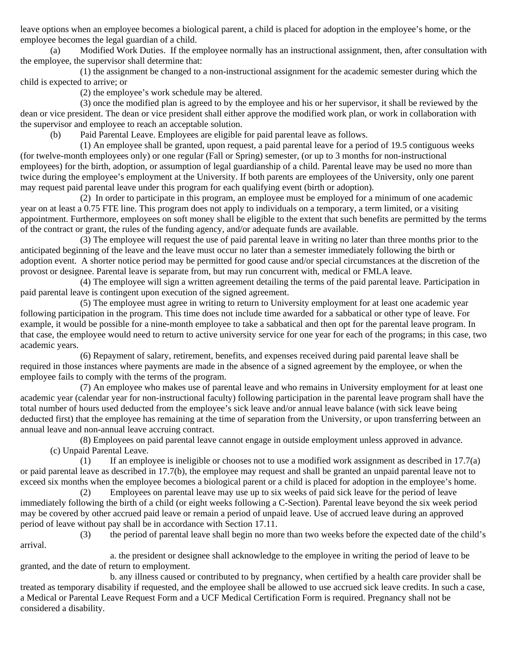leave options when an employee becomes a biological parent, a child is placed for adoption in the employee's home, or the employee becomes the legal guardian of a child.

(a) Modified Work Duties. If the employee normally has an instructional assignment, then, after consultation with the employee, the supervisor shall determine that:

(1) the assignment be changed to a non-instructional assignment for the academic semester during which the child is expected to arrive; or

(2) the employee's work schedule may be altered.

(3) once the modified plan is agreed to by the employee and his or her supervisor, it shall be reviewed by the dean or vice president. The dean or vice president shall either approve the modified work plan, or work in collaboration with the supervisor and employee to reach an acceptable solution.

(b) Paid Parental Leave. Employees are eligible for paid parental leave as follows.

(1) An employee shall be granted, upon request, a paid parental leave for a period of 19.5 contiguous weeks (for twelve-month employees only) or one regular (Fall or Spring) semester, (or up to 3 months for non-instructional employees) for the birth, adoption, or assumption of legal guardianship of a child. Parental leave may be used no more than twice during the employee's employment at the University. If both parents are employees of the University, only one parent may request paid parental leave under this program for each qualifying event (birth or adoption).

(2) In order to participate in this program, an employee must be employed for a minimum of one academic year on at least a 0.75 FTE line. This program does not apply to individuals on a temporary, a term limited, or a visiting appointment. Furthermore, employees on soft money shall be eligible to the extent that such benefits are permitted by the terms of the contract or grant, the rules of the funding agency, and/or adequate funds are available.

(3) The employee will request the use of paid parental leave in writing no later than three months prior to the anticipated beginning of the leave and the leave must occur no later than a semester immediately following the birth or adoption event. A shorter notice period may be permitted for good cause and/or special circumstances at the discretion of the provost or designee. Parental leave is separate from, but may run concurrent with, medical or FMLA leave.

(4) The employee will sign a written agreement detailing the terms of the paid parental leave. Participation in paid parental leave is contingent upon execution of the signed agreement.

(5) The employee must agree in writing to return to University employment for at least one academic year following participation in the program. This time does not include time awarded for a sabbatical or other type of leave. For example, it would be possible for a nine-month employee to take a sabbatical and then opt for the parental leave program. In that case, the employee would need to return to active university service for one year for each of the programs; in this case, two academic years.

(6) Repayment of salary, retirement, benefits, and expenses received during paid parental leave shall be required in those instances where payments are made in the absence of a signed agreement by the employee, or when the employee fails to comply with the terms of the program.

(7) An employee who makes use of parental leave and who remains in University employment for at least one academic year (calendar year for non-instructional faculty) following participation in the parental leave program shall have the total number of hours used deducted from the employee's sick leave and/or annual leave balance (with sick leave being deducted first) that the employee has remaining at the time of separation from the University, or upon transferring between an annual leave and non-annual leave accruing contract.

(8) Employees on paid parental leave cannot engage in outside employment unless approved in advance. (c) Unpaid Parental Leave.

 $(1)$  If an employee is ineligible or chooses not to use a modified work assignment as described in 17.7(a) or paid parental leave as described in 17.7(b), the employee may request and shall be granted an unpaid parental leave not to exceed six months when the employee becomes a biological parent or a child is placed for adoption in the employee's home.

(2) Employees on parental leave may use up to six weeks of paid sick leave for the period of leave immediately following the birth of a child (or eight weeks following a C-Section). Parental leave beyond the six week period may be covered by other accrued paid leave or remain a period of unpaid leave. Use of accrued leave during an approved period of leave without pay shall be in accordance with Section 17.11.

(3) the period of parental leave shall begin no more than two weeks before the expected date of the child's arrival.

a. the president or designee shall acknowledge to the employee in writing the period of leave to be granted, and the date of return to employment.

b. any illness caused or contributed to by pregnancy, when certified by a health care provider shall be treated as temporary disability if requested, and the employee shall be allowed to use accrued sick leave credits. In such a case, a Medical or Parental Leave Request Form and a UCF Medical Certification Form is required. Pregnancy shall not be considered a disability.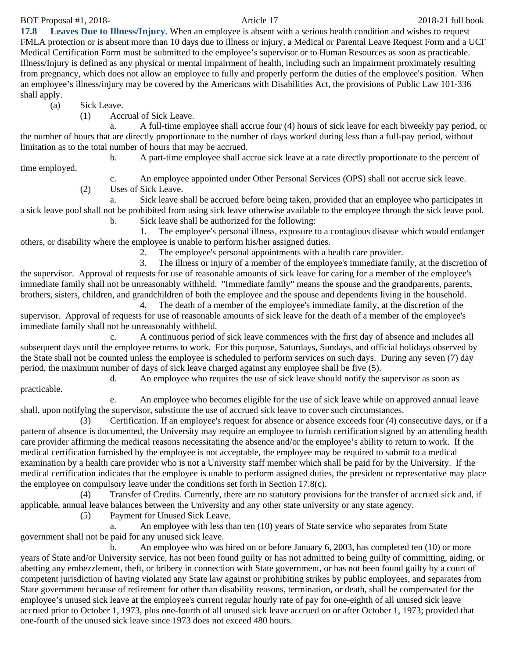BOT Proposal #1, 2018-21 full book Article 17 2018-21 full book

**17.8 Leaves Due to Illness/Injury.** When an employee is absent with a serious health condition and wishes to request FMLA protection or is absent more than 10 days due to illness or injury, a Medical or Parental Leave Request Form and a UCF Medical Certification Form must be submitted to the employee's supervisor or to Human Resources as soon as practicable. Illness/Injury is defined as any physical or mental impairment of health, including such an impairment proximately resulting from pregnancy, which does not allow an employee to fully and properly perform the duties of the employee's position. When an employee's illness/injury may be covered by the Americans with Disabilities Act, the provisions of Public Law 101-336 shall apply.

(a) Sick Leave.

(1) Accrual of Sick Leave.

a. A full-time employee shall accrue four (4) hours of sick leave for each biweekly pay period, or the number of hours that are directly proportionate to the number of days worked during less than a full-pay period, without limitation as to the total number of hours that may be accrued.

b. A part-time employee shall accrue sick leave at a rate directly proportionate to the percent of

time employed.

c. An employee appointed under Other Personal Services (OPS) shall not accrue sick leave.

(2) Uses of Sick Leave.

Sick leave shall be accrued before being taken, provided that an employee who participates in a sick leave pool shall not be prohibited from using sick leave otherwise available to the employee through the sick leave pool. b. Sick leave shall be authorized for the following:

1. The employee's personal illness, exposure to a contagious disease which would endanger others, or disability where the employee is unable to perform his/her assigned duties.

2. The employee's personal appointments with a health care provider.

3. The illness or injury of a member of the employee's immediate family, at the discretion of the supervisor. Approval of requests for use of reasonable amounts of sick leave for caring for a member of the employee's immediate family shall not be unreasonably withheld. "Immediate family" means the spouse and the grandparents, parents, brothers, sisters, children, and grandchildren of both the employee and the spouse and dependents living in the household.

4. The death of a member of the employee's immediate family, at the discretion of the supervisor. Approval of requests for use of reasonable amounts of sick leave for the death of a member of the employee's immediate family shall not be unreasonably withheld.

c. A continuous period of sick leave commences with the first day of absence and includes all subsequent days until the employee returns to work. For this purpose, Saturdays, Sundays, and official holidays observed by the State shall not be counted unless the employee is scheduled to perform services on such days. During any seven (7) day period, the maximum number of days of sick leave charged against any employee shall be five (5).

d. An employee who requires the use of sick leave should notify the supervisor as soon as

practicable.

e. An employee who becomes eligible for the use of sick leave while on approved annual leave shall, upon notifying the supervisor, substitute the use of accrued sick leave to cover such circumstances.

(3) Certification. If an employee's request for absence or absence exceeds four (4) consecutive days, or if a pattern of absence is documented, the University may require an employee to furnish certification signed by an attending health care provider affirming the medical reasons necessitating the absence and/or the employee's ability to return to work. If the medical certification furnished by the employee is not acceptable, the employee may be required to submit to a medical examination by a health care provider who is not a University staff member which shall be paid for by the University. If the medical certification indicates that the employee is unable to perform assigned duties, the president or representative may place the employee on compulsory leave under the conditions set forth in Section 17.8(c).

(4) Transfer of Credits. Currently, there are no statutory provisions for the transfer of accrued sick and, if applicable, annual leave balances between the University and any other state university or any state agency.

(5) Payment for Unused Sick Leave.

a. An employee with less than ten (10) years of State service who separates from State government shall not be paid for any unused sick leave.

b. An employee who was hired on or before January 6, 2003, has completed ten (10) or more years of State and/or University service, has not been found guilty or has not admitted to being guilty of committing, aiding, or abetting any embezzlement, theft, or bribery in connection with State government, or has not been found guilty by a court of competent jurisdiction of having violated any State law against or prohibiting strikes by public employees, and separates from State government because of retirement for other than disability reasons, termination, or death, shall be compensated for the employee's unused sick leave at the employee's current regular hourly rate of pay for one-eighth of all unused sick leave accrued prior to October 1, 1973, plus one-fourth of all unused sick leave accrued on or after October 1, 1973; provided that one-fourth of the unused sick leave since 1973 does not exceed 480 hours.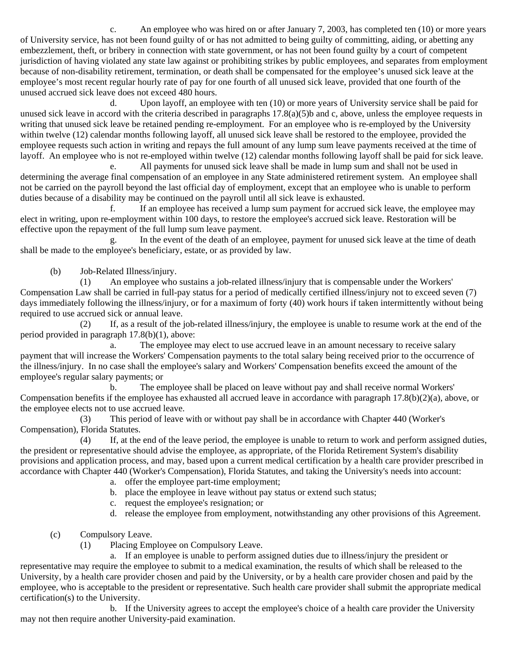c. An employee who was hired on or after January 7, 2003, has completed ten (10) or more years of University service, has not been found guilty of or has not admitted to being guilty of committing, aiding, or abetting any embezzlement, theft, or bribery in connection with state government, or has not been found guilty by a court of competent jurisdiction of having violated any state law against or prohibiting strikes by public employees, and separates from employment because of non-disability retirement, termination, or death shall be compensated for the employee's unused sick leave at the employee's most recent regular hourly rate of pay for one fourth of all unused sick leave, provided that one fourth of the unused accrued sick leave does not exceed 480 hours.

d. Upon layoff, an employee with ten (10) or more years of University service shall be paid for unused sick leave in accord with the criteria described in paragraphs  $17.8(a)(5)b$  and c, above, unless the employee requests in writing that unused sick leave be retained pending re-employment. For an employee who is re-employed by the University within twelve (12) calendar months following layoff, all unused sick leave shall be restored to the employee, provided the employee requests such action in writing and repays the full amount of any lump sum leave payments received at the time of layoff. An employee who is not re-employed within twelve (12) calendar months following layoff shall be paid for sick leave.

e. All payments for unused sick leave shall be made in lump sum and shall not be used in determining the average final compensation of an employee in any State administered retirement system. An employee shall not be carried on the payroll beyond the last official day of employment, except that an employee who is unable to perform duties because of a disability may be continued on the payroll until all sick leave is exhausted.

f. If an employee has received a lump sum payment for accrued sick leave, the employee may elect in writing, upon re-employment within 100 days, to restore the employee's accrued sick leave. Restoration will be effective upon the repayment of the full lump sum leave payment.

g. In the event of the death of an employee, payment for unused sick leave at the time of death shall be made to the employee's beneficiary, estate, or as provided by law.

(b) Job-Related Illness/injury.

(1) An employee who sustains a job-related illness/injury that is compensable under the Workers' Compensation Law shall be carried in full-pay status for a period of medically certified illness/injury not to exceed seven (7) days immediately following the illness/injury, or for a maximum of forty (40) work hours if taken intermittently without being required to use accrued sick or annual leave.

(2) If, as a result of the job-related illness/injury, the employee is unable to resume work at the end of the period provided in paragraph 17.8(b)(1), above:

a. The employee may elect to use accrued leave in an amount necessary to receive salary payment that will increase the Workers' Compensation payments to the total salary being received prior to the occurrence of the illness/injury. In no case shall the employee's salary and Workers' Compensation benefits exceed the amount of the employee's regular salary payments; or

b. The employee shall be placed on leave without pay and shall receive normal Workers' Compensation benefits if the employee has exhausted all accrued leave in accordance with paragraph 17.8(b)(2)(a), above, or the employee elects not to use accrued leave.

(3) This period of leave with or without pay shall be in accordance with Chapter 440 (Worker's Compensation), Florida Statutes.

(4) If, at the end of the leave period, the employee is unable to return to work and perform assigned duties, the president or representative should advise the employee, as appropriate, of the Florida Retirement System's disability provisions and application process, and may, based upon a current medical certification by a health care provider prescribed in accordance with Chapter 440 (Worker's Compensation), Florida Statutes, and taking the University's needs into account:

- a. offer the employee part-time employment;
- b. place the employee in leave without pay status or extend such status;
- c. request the employee's resignation; or
- d. release the employee from employment, notwithstanding any other provisions of this Agreement.
- (c) Compulsory Leave.
	- (1) Placing Employee on Compulsory Leave.

a. If an employee is unable to perform assigned duties due to illness/injury the president or representative may require the employee to submit to a medical examination, the results of which shall be released to the University, by a health care provider chosen and paid by the University, or by a health care provider chosen and paid by the employee, who is acceptable to the president or representative. Such health care provider shall submit the appropriate medical certification(s) to the University.

b. If the University agrees to accept the employee's choice of a health care provider the University may not then require another University-paid examination.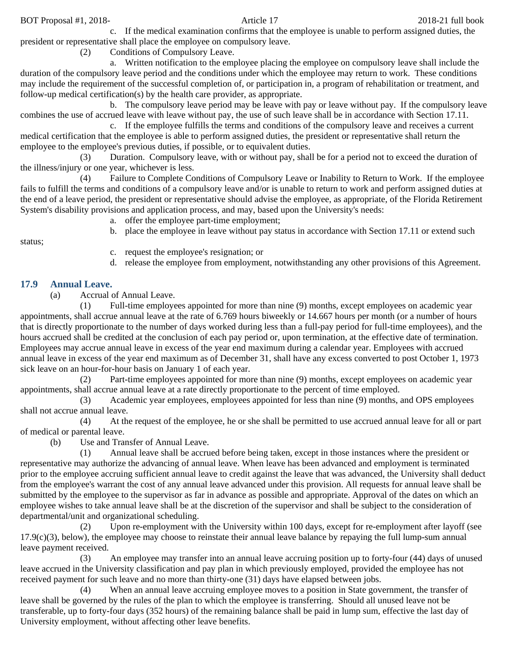c. If the medical examination confirms that the employee is unable to perform assigned duties, the president or representative shall place the employee on compulsory leave.

(2) Conditions of Compulsory Leave.

a. Written notification to the employee placing the employee on compulsory leave shall include the duration of the compulsory leave period and the conditions under which the employee may return to work. These conditions may include the requirement of the successful completion of, or participation in, a program of rehabilitation or treatment, and follow-up medical certification(s) by the health care provider, as appropriate.

b. The compulsory leave period may be leave with pay or leave without pay. If the compulsory leave combines the use of accrued leave with leave without pay, the use of such leave shall be in accordance with Section 17.11.

c. If the employee fulfills the terms and conditions of the compulsory leave and receives a current medical certification that the employee is able to perform assigned duties, the president or representative shall return the employee to the employee's previous duties, if possible, or to equivalent duties.

(3) Duration. Compulsory leave, with or without pay, shall be for a period not to exceed the duration of the illness/injury or one year, whichever is less.

(4) Failure to Complete Conditions of Compulsory Leave or Inability to Return to Work. If the employee fails to fulfill the terms and conditions of a compulsory leave and/or is unable to return to work and perform assigned duties at the end of a leave period, the president or representative should advise the employee, as appropriate, of the Florida Retirement System's disability provisions and application process, and may, based upon the University's needs:

a. offer the employee part-time employment;

status;

- b. place the employee in leave without pay status in accordance with Section 17.11 or extend such
	-
- c. request the employee's resignation; or
- d. release the employee from employment, notwithstanding any other provisions of this Agreement.

## **17.9 Annual Leave.**

(a) Accrual of Annual Leave.

(1) Full-time employees appointed for more than nine (9) months, except employees on academic year appointments, shall accrue annual leave at the rate of 6.769 hours biweekly or 14.667 hours per month (or a number of hours that is directly proportionate to the number of days worked during less than a full-pay period for full-time employees), and the hours accrued shall be credited at the conclusion of each pay period or, upon termination, at the effective date of termination. Employees may accrue annual leave in excess of the year end maximum during a calendar year. Employees with accrued annual leave in excess of the year end maximum as of December 31, shall have any excess converted to post October 1, 1973 sick leave on an hour-for-hour basis on January 1 of each year.

(2) Part-time employees appointed for more than nine (9) months, except employees on academic year appointments, shall accrue annual leave at a rate directly proportionate to the percent of time employed.

(3) Academic year employees, employees appointed for less than nine (9) months, and OPS employees shall not accrue annual leave.

(4) At the request of the employee, he or she shall be permitted to use accrued annual leave for all or part of medical or parental leave.

(b) Use and Transfer of Annual Leave.

(1) Annual leave shall be accrued before being taken, except in those instances where the president or representative may authorize the advancing of annual leave. When leave has been advanced and employment is terminated prior to the employee accruing sufficient annual leave to credit against the leave that was advanced, the University shall deduct from the employee's warrant the cost of any annual leave advanced under this provision. All requests for annual leave shall be submitted by the employee to the supervisor as far in advance as possible and appropriate. Approval of the dates on which an employee wishes to take annual leave shall be at the discretion of the supervisor and shall be subject to the consideration of departmental/unit and organizational scheduling.

(2) Upon re-employment with the University within 100 days, except for re-employment after layoff (see  $17.9(c)(3)$ , below), the employee may choose to reinstate their annual leave balance by repaying the full lump-sum annual leave payment received.

(3) An employee may transfer into an annual leave accruing position up to forty-four (44) days of unused leave accrued in the University classification and pay plan in which previously employed, provided the employee has not received payment for such leave and no more than thirty-one (31) days have elapsed between jobs.

(4) When an annual leave accruing employee moves to a position in State government, the transfer of leave shall be governed by the rules of the plan to which the employee is transferring. Should all unused leave not be transferable, up to forty-four days (352 hours) of the remaining balance shall be paid in lump sum, effective the last day of University employment, without affecting other leave benefits.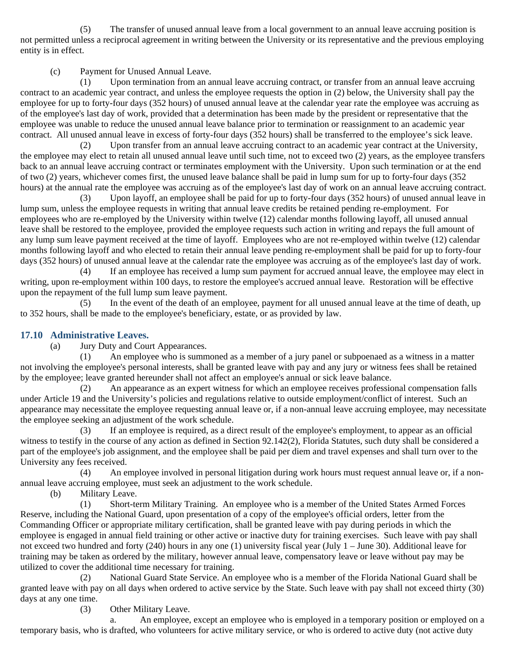(5) The transfer of unused annual leave from a local government to an annual leave accruing position is not permitted unless a reciprocal agreement in writing between the University or its representative and the previous employing entity is in effect.

(c) Payment for Unused Annual Leave.

(1) Upon termination from an annual leave accruing contract, or transfer from an annual leave accruing contract to an academic year contract, and unless the employee requests the option in (2) below, the University shall pay the employee for up to forty-four days (352 hours) of unused annual leave at the calendar year rate the employee was accruing as of the employee's last day of work, provided that a determination has been made by the president or representative that the employee was unable to reduce the unused annual leave balance prior to termination or reassignment to an academic year contract. All unused annual leave in excess of forty-four days (352 hours) shall be transferred to the employee's sick leave.

(2) Upon transfer from an annual leave accruing contract to an academic year contract at the University, the employee may elect to retain all unused annual leave until such time, not to exceed two (2) years, as the employee transfers back to an annual leave accruing contract or terminates employment with the University. Upon such termination or at the end of two (2) years, whichever comes first, the unused leave balance shall be paid in lump sum for up to forty-four days (352 hours) at the annual rate the employee was accruing as of the employee's last day of work on an annual leave accruing contract.

(3) Upon layoff, an employee shall be paid for up to forty-four days (352 hours) of unused annual leave in lump sum, unless the employee requests in writing that annual leave credits be retained pending re-employment. For employees who are re-employed by the University within twelve (12) calendar months following layoff, all unused annual leave shall be restored to the employee, provided the employee requests such action in writing and repays the full amount of any lump sum leave payment received at the time of layoff. Employees who are not re-employed within twelve (12) calendar months following layoff and who elected to retain their annual leave pending re-employment shall be paid for up to forty-four days (352 hours) of unused annual leave at the calendar rate the employee was accruing as of the employee's last day of work.

(4) If an employee has received a lump sum payment for accrued annual leave, the employee may elect in writing, upon re-employment within 100 days, to restore the employee's accrued annual leave. Restoration will be effective upon the repayment of the full lump sum leave payment.

(5) In the event of the death of an employee, payment for all unused annual leave at the time of death, up to 352 hours, shall be made to the employee's beneficiary, estate, or as provided by law.

### **17.10 Administrative Leaves.**

(a) Jury Duty and Court Appearances.

(1) An employee who is summoned as a member of a jury panel or subpoenaed as a witness in a matter not involving the employee's personal interests, shall be granted leave with pay and any jury or witness fees shall be retained by the employee; leave granted hereunder shall not affect an employee's annual or sick leave balance.

(2) An appearance as an expert witness for which an employee receives professional compensation falls under Article 19 and the University's policies and regulations relative to outside employment/conflict of interest. Such an appearance may necessitate the employee requesting annual leave or, if a non-annual leave accruing employee, may necessitate the employee seeking an adjustment of the work schedule.

(3) If an employee is required, as a direct result of the employee's employment, to appear as an official witness to testify in the course of any action as defined in Section 92.142(2), Florida Statutes, such duty shall be considered a part of the employee's job assignment, and the employee shall be paid per diem and travel expenses and shall turn over to the University any fees received.

(4) An employee involved in personal litigation during work hours must request annual leave or, if a nonannual leave accruing employee, must seek an adjustment to the work schedule.

(b) Military Leave.

(1) Short-term Military Training. An employee who is a member of the United States Armed Forces Reserve, including the National Guard, upon presentation of a copy of the employee's official orders, letter from the Commanding Officer or appropriate military certification, shall be granted leave with pay during periods in which the employee is engaged in annual field training or other active or inactive duty for training exercises. Such leave with pay shall not exceed two hundred and forty (240) hours in any one (1) university fiscal year (July 1 – June 30). Additional leave for training may be taken as ordered by the military, however annual leave, compensatory leave or leave without pay may be utilized to cover the additional time necessary for training.

(2) National Guard State Service. An employee who is a member of the Florida National Guard shall be granted leave with pay on all days when ordered to active service by the State. Such leave with pay shall not exceed thirty (30) days at any one time.

(3) Other Military Leave.

a. An employee, except an employee who is employed in a temporary position or employed on a temporary basis, who is drafted, who volunteers for active military service, or who is ordered to active duty (not active duty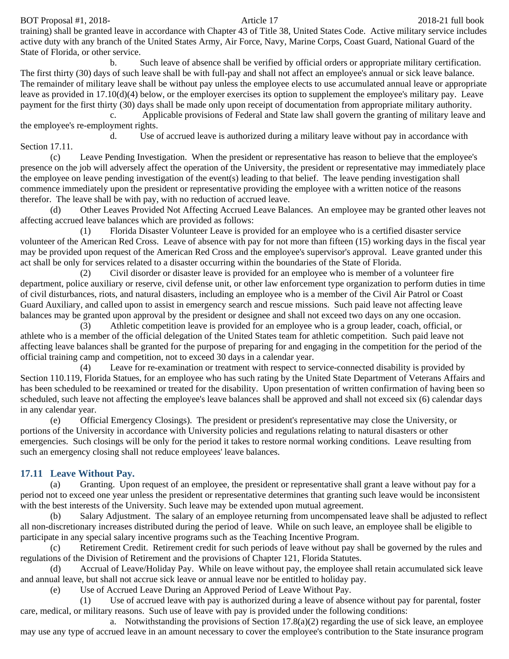BOT Proposal #1, 2018-21 full book Article 17 2018-21 full book

training) shall be granted leave in accordance with Chapter 43 of Title 38, United States Code. Active military service includes active duty with any branch of the United States Army, Air Force, Navy, Marine Corps, Coast Guard, National Guard of the State of Florida, or other service.

b. Such leave of absence shall be verified by official orders or appropriate military certification. The first thirty (30) days of such leave shall be with full-pay and shall not affect an employee's annual or sick leave balance. The remainder of military leave shall be without pay unless the employee elects to use accumulated annual leave or appropriate leave as provided in 17.10(d)(4) below, or the employer exercises its option to supplement the employee's military pay. Leave payment for the first thirty (30) days shall be made only upon receipt of documentation from appropriate military authority.

c. Applicable provisions of Federal and State law shall govern the granting of military leave and the employee's re-employment rights.

d. Use of accrued leave is authorized during a military leave without pay in accordance with Section 17.11.

(c) Leave Pending Investigation. When the president or representative has reason to believe that the employee's presence on the job will adversely affect the operation of the University, the president or representative may immediately place the employee on leave pending investigation of the event(s) leading to that belief. The leave pending investigation shall commence immediately upon the president or representative providing the employee with a written notice of the reasons therefor. The leave shall be with pay, with no reduction of accrued leave.

(d) Other Leaves Provided Not Affecting Accrued Leave Balances. An employee may be granted other leaves not affecting accrued leave balances which are provided as follows:

(1) Florida Disaster Volunteer Leave is provided for an employee who is a certified disaster service volunteer of the American Red Cross. Leave of absence with pay for not more than fifteen (15) working days in the fiscal year may be provided upon request of the American Red Cross and the employee's supervisor's approval. Leave granted under this act shall be only for services related to a disaster occurring within the boundaries of the State of Florida.

(2) Civil disorder or disaster leave is provided for an employee who is member of a volunteer fire department, police auxiliary or reserve, civil defense unit, or other law enforcement type organization to perform duties in time of civil disturbances, riots, and natural disasters, including an employee who is a member of the Civil Air Patrol or Coast Guard Auxiliary, and called upon to assist in emergency search and rescue missions. Such paid leave not affecting leave balances may be granted upon approval by the president or designee and shall not exceed two days on any one occasion.

(3) Athletic competition leave is provided for an employee who is a group leader, coach, official, or athlete who is a member of the official delegation of the United States team for athletic competition. Such paid leave not affecting leave balances shall be granted for the purpose of preparing for and engaging in the competition for the period of the official training camp and competition, not to exceed 30 days in a calendar year.

(4) Leave for re-examination or treatment with respect to service-connected disability is provided by Section 110.119, Florida Statues, for an employee who has such rating by the United State Department of Veterans Affairs and has been scheduled to be reexamined or treated for the disability. Upon presentation of written confirmation of having been so scheduled, such leave not affecting the employee's leave balances shall be approved and shall not exceed six (6) calendar days in any calendar year.

(e) Official Emergency Closings). The president or president's representative may close the University, or portions of the University in accordance with University policies and regulations relating to natural disasters or other emergencies. Such closings will be only for the period it takes to restore normal working conditions. Leave resulting from such an emergency closing shall not reduce employees' leave balances.

## **17.11 Leave Without Pay.**

(a) Granting. Upon request of an employee, the president or representative shall grant a leave without pay for a period not to exceed one year unless the president or representative determines that granting such leave would be inconsistent with the best interests of the University. Such leave may be extended upon mutual agreement.

(b) Salary Adjustment. The salary of an employee returning from uncompensated leave shall be adjusted to reflect all non-discretionary increases distributed during the period of leave. While on such leave, an employee shall be eligible to participate in any special salary incentive programs such as the Teaching Incentive Program.

(c) Retirement Credit. Retirement credit for such periods of leave without pay shall be governed by the rules and regulations of the Division of Retirement and the provisions of Chapter 121, Florida Statutes.

(d) Accrual of Leave/Holiday Pay. While on leave without pay, the employee shall retain accumulated sick leave and annual leave, but shall not accrue sick leave or annual leave nor be entitled to holiday pay.

(e) Use of Accrued Leave During an Approved Period of Leave Without Pay.

(1) Use of accrued leave with pay is authorized during a leave of absence without pay for parental, foster care, medical, or military reasons. Such use of leave with pay is provided under the following conditions:

a. Notwithstanding the provisions of Section  $17.8(a)(2)$  regarding the use of sick leave, an employee may use any type of accrued leave in an amount necessary to cover the employee's contribution to the State insurance program